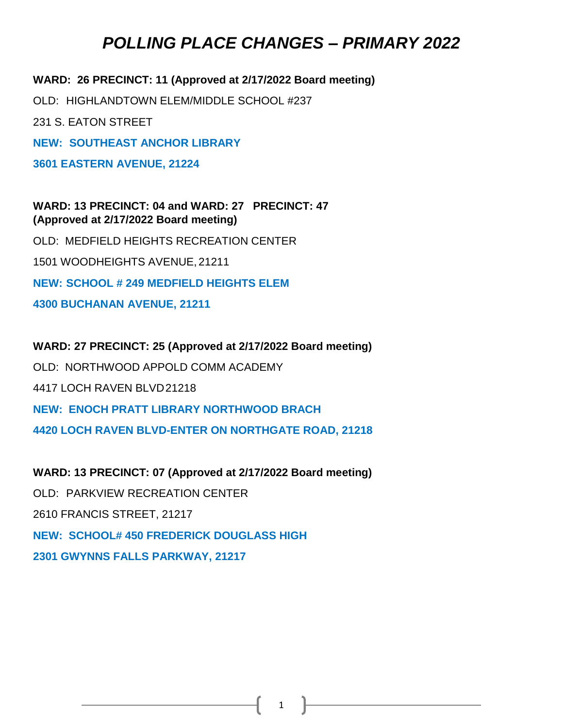**WARD: 26 PRECINCT: 11 (Approved at 2/17/2022 Board meeting)** OLD: HIGHLANDTOWN ELEM/MIDDLE SCHOOL #237 231 S. EATON STREET **NEW: SOUTHEAST ANCHOR LIBRARY 3601 EASTERN AVENUE, 21224 WARD: 13 PRECINCT: 04 and WARD: 27 PRECINCT: 47**

OLD: MEDFIELD HEIGHTS RECREATION CENTER 1501 WOODHEIGHTS AVENUE, 21211 **NEW: SCHOOL # 249 MEDFIELD HEIGHTS ELEM 4300 BUCHANAN AVENUE, 21211**

**(Approved at 2/17/2022 Board meeting)**

**WARD: 27 PRECINCT: 25 (Approved at 2/17/2022 Board meeting)** OLD: NORTHWOOD APPOLD COMM ACADEMY 4417 LOCH RAVEN BLVD21218 **NEW: ENOCH PRATT LIBRARY NORTHWOOD BRACH 4420 LOCH RAVEN BLVD-ENTER ON NORTHGATE ROAD, 21218**

**WARD: 13 PRECINCT: 07 (Approved at 2/17/2022 Board meeting)** OLD: PARKVIEW RECREATION CENTER 2610 FRANCIS STREET, 21217 **NEW: SCHOOL# 450 FREDERICK DOUGLASS HIGH 2301 GWYNNS FALLS PARKWAY, 21217**

1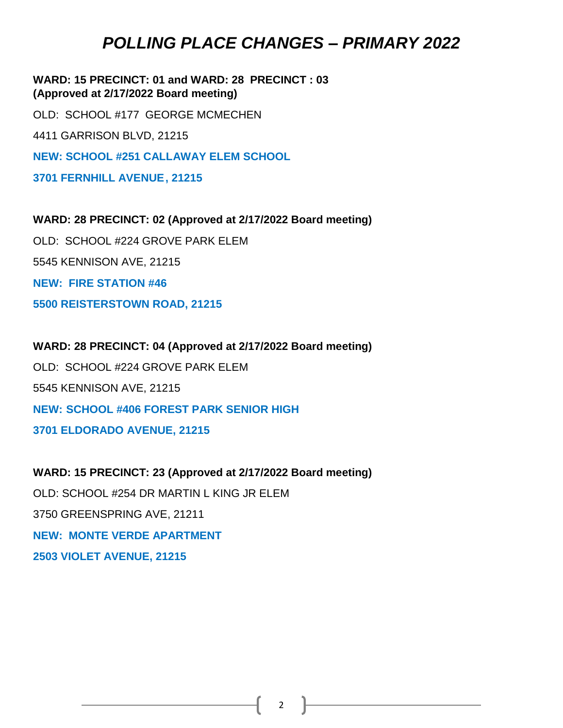**WARD: 15 PRECINCT: 01 and WARD: 28 PRECINCT : 03 (Approved at 2/17/2022 Board meeting)**

OLD: SCHOOL #177 GEORGE MCMECHEN 4411 GARRISON BLVD, 21215 **NEW: SCHOOL #251 CALLAWAY ELEM SCHOOL 3701 FERNHILL AVENUE, 21215**

**WARD: 28 PRECINCT: 02 (Approved at 2/17/2022 Board meeting)** OLD: SCHOOL #224 GROVE PARK ELEM 5545 KENNISON AVE, 21215 **NEW: FIRE STATION #46 5500 REISTERSTOWN ROAD, 21215**

**WARD: 28 PRECINCT: 04 (Approved at 2/17/2022 Board meeting)** OLD: SCHOOL #224 GROVE PARK ELEM 5545 KENNISON AVE, 21215 **NEW: SCHOOL #406 FOREST PARK SENIOR HIGH 3701 ELDORADO AVENUE, 21215**

**WARD: 15 PRECINCT: 23 (Approved at 2/17/2022 Board meeting)** OLD: SCHOOL #254 DR MARTIN L KING JR ELEM 3750 GREENSPRING AVE, 21211 **NEW: MONTE VERDE APARTMENT 2503 VIOLET AVENUE, 21215**

2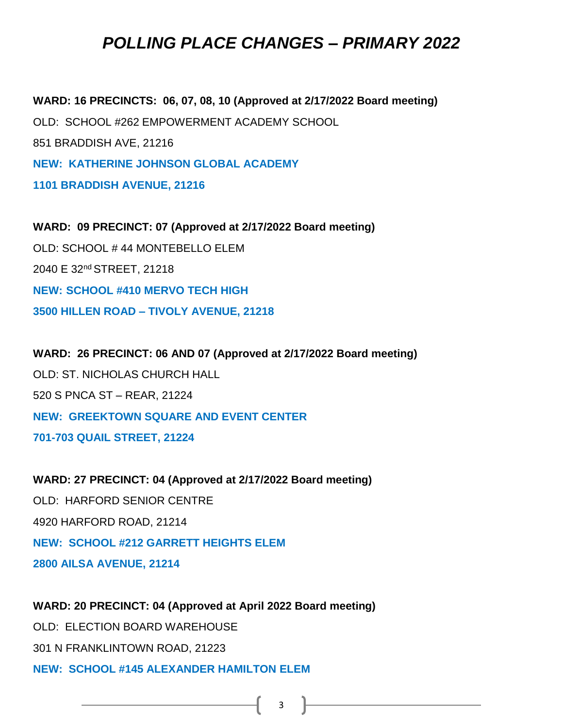**WARD: 16 PRECINCTS: 06, 07, 08, 10 (Approved at 2/17/2022 Board meeting)** OLD: SCHOOL #262 EMPOWERMENT ACADEMY SCHOOL 851 BRADDISH AVE, 21216 **NEW: KATHERINE JOHNSON GLOBAL ACADEMY 1101 BRADDISH AVENUE, 21216**

**WARD: 09 PRECINCT: 07 (Approved at 2/17/2022 Board meeting)** OLD: SCHOOL # 44 MONTEBELLO ELEM 2040 E 32nd STREET, 21218 **NEW: SCHOOL #410 MERVO TECH HIGH 3500 HILLEN ROAD – TIVOLY AVENUE, 21218**

**WARD: 26 PRECINCT: 06 AND 07 (Approved at 2/17/2022 Board meeting)** OLD: ST. NICHOLAS CHURCH HALL 520 S PNCA ST – REAR, 21224 **NEW: GREEKTOWN SQUARE AND EVENT CENTER 701-703 QUAIL STREET, 21224**

**WARD: 27 PRECINCT: 04 (Approved at 2/17/2022 Board meeting)** OLD: HARFORD SENIOR CENTRE 4920 HARFORD ROAD, 21214 **NEW: SCHOOL #212 GARRETT HEIGHTS ELEM 2800 AILSA AVENUE, 21214**

**WARD: 20 PRECINCT: 04 (Approved at April 2022 Board meeting)** OLD: ELECTION BOARD WAREHOUSE 301 N FRANKLINTOWN ROAD, 21223 **NEW: SCHOOL #145 ALEXANDER HAMILTON ELEM**

 $3 \quad \boxed{\qquad}$